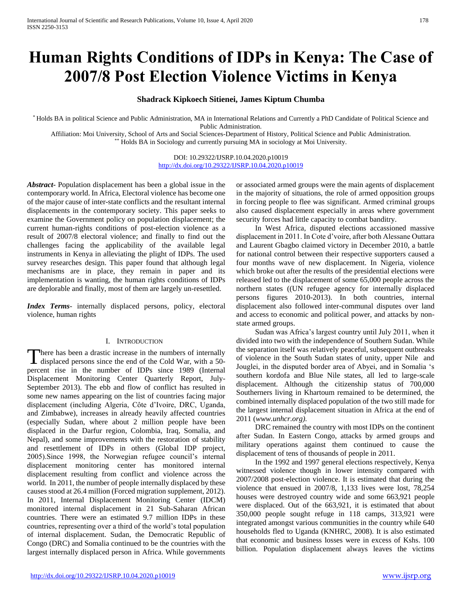# **Human Rights Conditions of IDPs in Kenya: The Case of 2007/8 Post Election Violence Victims in Kenya**

# **Shadrack Kipkoech Sitienei, James Kiptum Chumba**

\* Holds BA in political Science and Public Administration, MA in International Relations and Currently a PhD Candidate of Political Science and Public Administration.

Affiliation: Moi University, School of Arts and Social Sciences-Department of History, Political Science and Public Administration. \*\* Holds BA in Sociology and currently pursuing MA in sociology at Moi University.

> DOI: 10.29322/IJSRP.10.04.2020.p10019 <http://dx.doi.org/10.29322/IJSRP.10.04.2020.p10019>

*Abstract***-** Population displacement has been a global issue in the contemporary world. In Africa, Electoral violence has become one of the major cause of inter-state conflicts and the resultant internal displacements in the contemporary society. This paper seeks to examine the Government policy on population displacement; the current human-rights conditions of post-election violence as a result of 2007/8 electoral violence; and finally to find out the challenges facing the applicability of the available legal instruments in Kenya in alleviating the plight of IDPs. The used survey researches design. This paper found that although legal mechanisms are in place, they remain in paper and its implementation is wanting, the human rights conditions of IDPs are deplorable and finally, most of them are largely un-resettled.

*Index Terms*- internally displaced persons, policy, electoral violence, human rights

## I. INTRODUCTION

here has been a drastic increase in the numbers of internally There has been a drastic increase in the numbers of internally displaced persons since the end of the Cold War, with a 50percent rise in the number of IDPs since 1989 (Internal Displacement Monitoring Center Quarterly Report, July-September 2013). The ebb and flow of conflict has resulted in some new names appearing on the list of countries facing major displacement (including Algeria, Côte d'Ivoire, DRC, Uganda, and Zimbabwe), increases in already heavily affected countries (especially Sudan, where about 2 million people have been displaced in the Darfur region, Colombia, Iraq, Somalia, and Nepal), and some improvements with the restoration of stability and resettlement of IDPs in others (Global IDP project, 2005).Since 1998, the Norwegian refugee council's internal displacement monitoring center has monitored internal displacement resulting from conflict and violence across the world. In 2011, the number of people internally displaced by these causes stood at 26.4 million (Forced migration supplement, 2012). In 2011, Internal Displacement Monitoring Center (IDCM) monitored internal displacement in 21 Sub-Saharan African countries. There were an estimated 9.7 million IDPs in these countries, representing over a third of the world's total population of internal displacement. Sudan, the Democratic Republic of Congo (DRC) and Somalia continued to be the countries with the largest internally displaced person in Africa. While governments

or associated armed groups were the main agents of displacement in the majority of situations, the role of armed opposition groups in forcing people to flee was significant. Armed criminal groups also caused displacement especially in areas where government security forces had little capacity to combat banditry.

 In West Africa, disputed elections accassioned massive displacement in 2011. In Cote d'voire, after both Alessane Outtara and Laurent Gbagbo claimed victory in December 2010, a battle for national control between their respective supporters caused a four months wave of new displacement. In Nigeria, violence which broke out after the results of the presidential elections were released led to the displacement of some 65,000 people across the northern states ((UN refugee agency for internally displaced persons figures 2010-2013). In both countries, internal displacement also followed inter-communal disputes over land and access to economic and political power, and attacks by nonstate armed groups.

 Sudan was Africa's largest country until July 2011, when it divided into two with the independence of Southern Sudan. While the separation itself was relatively peaceful, subsequent outbreaks of violence in the South Sudan states of unity, upper Nile and Jouglei, in the disputed border area of Abyei, and in Somalia 's southern kordofa and Blue Nile states, all led to large-scale displacement. Although the citizenship status of 700,000 Southerners living in Khartoum remained to be determined, the combined internally displaced population of the two still made for the largest internal displacement situation in Africa at the end of 2011 (*www.unhcr.org)*.

 DRC remained the country with most IDPs on the continent after Sudan. In Eastern Congo, attacks by armed groups and military operations against them continued to cause the displacement of tens of thousands of people in 2011.

 In the 1992 and 1997 general elections respectively, Kenya witnessed violence though in lower intensity compared with 2007/2008 post-election violence. It is estimated that during the violence that ensued in 2007/8, 1,133 lives were lost, 78,254 houses were destroyed country wide and some 663,921 people were displaced. Out of the 663,921, it is estimated that about 350,000 people sought refuge in 118 camps, 313,921 were integrated amongst various communities in the country while 640 households fled to Uganda (KNHRC, 2008). It is also estimated that economic and business losses were in excess of Kshs. 100 billion. Population displacement always leaves the victims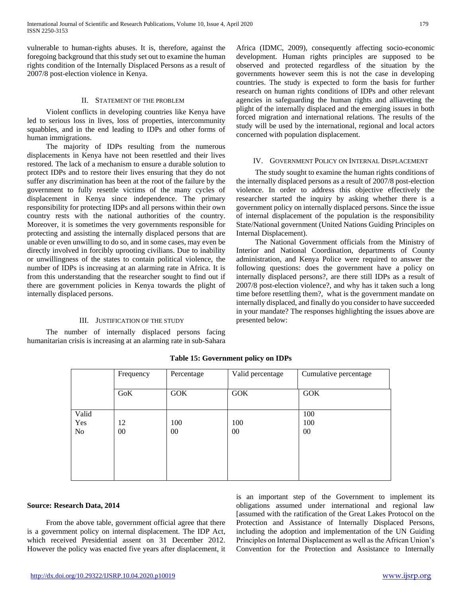vulnerable to human-rights abuses. It is, therefore, against the foregoing background that this study set out to examine the human rights condition of the Internally Displaced Persons as a result of 2007/8 post-election violence in Kenya.

#### II. STATEMENT OF THE PROBLEM

 Violent conflicts in developing countries like Kenya have led to serious loss in lives, loss of properties, intercommunity squabbles, and in the end leading to IDPs and other forms of human immigrations.

 The majority of IDPs resulting from the numerous displacements in Kenya have not been resettled and their lives restored. The lack of a mechanism to ensure a durable solution to protect IDPs and to restore their lives ensuring that they do not suffer any discrimination has been at the root of the failure by the government to fully resettle victims of the many cycles of displacement in Kenya since independence. The primary responsibility for protecting IDPs and all persons within their own country rests with the national authorities of the country. Moreover, it is sometimes the very governments responsible for protecting and assisting the internally displaced persons that are unable or even unwilling to do so, and in some cases, may even be directly involved in forcibly uprooting civilians. Due to inability or unwillingness of the states to contain political violence, the number of IDPs is increasing at an alarming rate in Africa. It is from this understanding that the researcher sought to find out if there are government policies in Kenya towards the plight of internally displaced persons.

## III. JUSTIFICATION OF THE STUDY

 The number of internally displaced persons facing humanitarian crisis is increasing at an alarming rate in sub-Sahara Africa (IDMC, 2009), consequently affecting socio-economic development. Human rights principles are supposed to be observed and protected regardless of the situation by the governments however seem this is not the case in developing countries. The study is expected to form the basis for further research on human rights conditions of IDPs and other relevant agencies in safeguarding the human rights and alliaveting the plight of the internally displaced and the emerging issues in both forced migration and international relations. The results of the study will be used by the international, regional and local actors concerned with population displacement.

#### IV. GOVERNMENT POLICY ON INTERNAL DISPLACEMENT

 The study sought to examine the human rights conditions of the internally displaced persons as a result of 2007/8 post-election violence. In order to address this objective effectively the researcher started the inquiry by asking whether there is a government policy on internally displaced persons. Since the issue of internal displacement of the population is the responsibility State/National government (United Nations Guiding Principles on Internal Displacement).

 The National Government officials from the Ministry of Interior and National Coordination, departments of County administration, and Kenya Police were required to answer the following questions: does the government have a policy on internally displaced persons?, are there still IDPs as a result of 2007/8 post-election violence?, and why has it taken such a long time before resettling them?, what is the government mandate on internally displaced, and finally do you consider to have succeeded in your mandate? The responses highlighting the issues above are presented below:

|                                | Frequency    | Percentage | Valid percentage | Cumulative percentage |  |  |
|--------------------------------|--------------|------------|------------------|-----------------------|--|--|
|                                | <b>GoK</b>   | <b>GOK</b> | <b>GOK</b>       | <b>GOK</b>            |  |  |
| Valid<br>Yes<br>N <sub>0</sub> | 12<br>$00\,$ | 100<br>00  | 100<br>00        | 100<br>100<br>$00\,$  |  |  |

**Table 15: Government policy on IDPs**

#### **Source: Research Data, 2014**

 From the above table, government official agree that there is a government policy on internal displacement. The IDP Act, which received Presidential assent on 31 December 2012. However the policy was enacted five years after displacement, it is an important step of the Government to implement its obligations assumed under international and regional law [assumed with the ratification of the Great Lakes Protocol on the Protection and Assistance of Internally Displaced Persons, including the adoption and implementation of the UN Guiding Principles on Internal Displacement as well as the African Union's Convention for the Protection and Assistance to Internally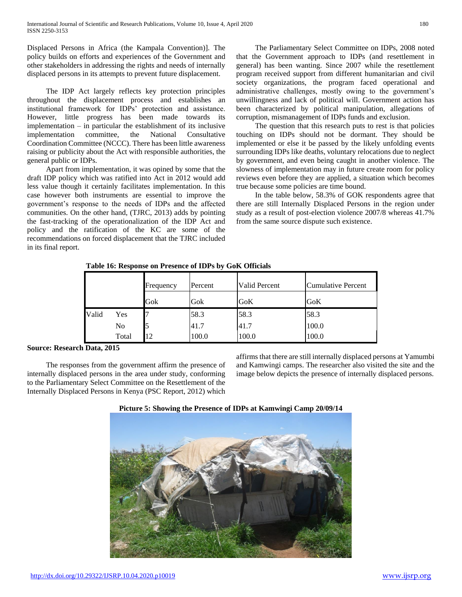Displaced Persons in Africa (the Kampala Convention)]. The policy builds on efforts and experiences of the Government and other stakeholders in addressing the rights and needs of internally displaced persons in its attempts to prevent future displacement.

 The IDP Act largely reflects key protection principles throughout the displacement process and establishes an institutional framework for IDPs' protection and assistance. However, little progress has been made towards its implementation – in particular the establishment of its inclusive implementation committee, the National Consultative Coordination Committee (NCCC). There has been little awareness raising or publicity about the Act with responsible authorities, the general public or IDPs.

 Apart from implementation, it was opined by some that the draft IDP policy which was ratified into Act in 2012 would add less value though it certainly facilitates implementation. In this case however both instruments are essential to improve the government's response to the needs of IDPs and the affected communities. On the other hand, (TJRC, 2013) adds by pointing the fast-tracking of the operationalization of the IDP Act and policy and the ratification of the KC are some of the recommendations on forced displacement that the TJRC included in its final report.

 The Parliamentary Select Committee on IDPs, 2008 noted that the Government approach to IDPs (and resettlement in general) has been wanting. Since 2007 while the resettlement program received support from different humanitarian and civil society organizations, the program faced operational and administrative challenges, mostly owing to the government's unwillingness and lack of political will. Government action has been characterized by political manipulation, allegations of corruption, mismanagement of IDPs funds and exclusion.

 The question that this research puts to rest is that policies touching on IDPs should not be dormant. They should be implemented or else it be passed by the likely unfolding events surrounding IDPs like deaths, voluntary relocations due to neglect by government, and even being caught in another violence. The slowness of implementation may in future create room for policy reviews even before they are applied, a situation which becomes true because some policies are time bound.

 In the table below, 58.3% of GOK respondents agree that there are still Internally Displaced Persons in the region under study as a result of post-election violence 2007/8 whereas 41.7% from the same source dispute such existence.

|       |       | Frequency | Percent | Valid Percent | <b>Cumulative Percent</b> |
|-------|-------|-----------|---------|---------------|---------------------------|
|       |       | Gok       | Gok     | GoK           | GoK                       |
| Valid | Yes   |           | 58.3    | 58.3          | 58.3                      |
|       | No    |           | 41.7    | 41.7          | 100.0                     |
|       | Total | 12        | 100.0   | 100.0         | 100.0                     |

**Table 16: Response on Presence of IDPs by GoK Officials**

# **Source: Research Data, 2015**

 The responses from the government affirm the presence of internally displaced persons in the area under study, conforming to the Parliamentary Select Committee on the Resettlement of the Internally Displaced Persons in Kenya (PSC Report, 2012) which affirms that there are still internally displaced persons at Yamumbi and Kamwingi camps. The researcher also visited the site and the image below depicts the presence of internally displaced persons.



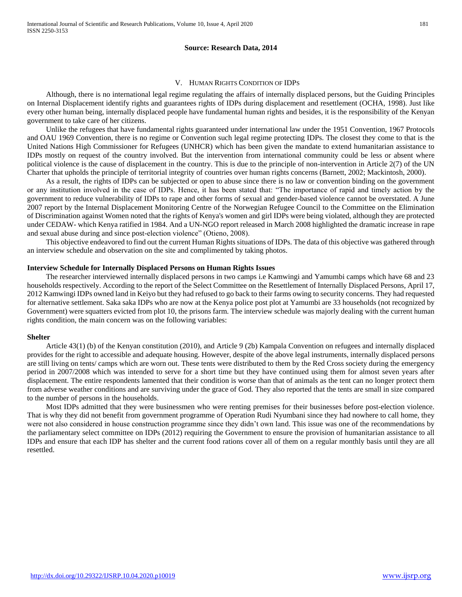## **Source: Research Data, 2014**

#### V. HUMAN RIGHTS CONDITION OF IDPS

 Although, there is no international legal regime regulating the affairs of internally displaced persons, but the Guiding Principles on Internal Displacement identify rights and guarantees rights of IDPs during displacement and resettlement (OCHA, 1998). Just like every other human being, internally displaced people have fundamental human rights and besides, it is the responsibility of the Kenyan government to take care of her citizens.

 Unlike the refugees that have fundamental rights guaranteed under international law under the 1951 Convention, 1967 Protocols and OAU 1969 Convention, there is no regime or Convention such legal regime protecting IDPs. The closest they come to that is the United Nations High Commissioner for Refugees (UNHCR) which has been given the mandate to extend humanitarian assistance to IDPs mostly on request of the country involved. But the intervention from international community could be less or absent where political violence is the cause of displacement in the country. This is due to the principle of non-intervention in Article 2(7) of the UN Charter that upholds the principle of territorial integrity of countries over human rights concerns (Barnett, 2002; Mackintosh, 2000).

 As a result, the rights of IDPs can be subjected or open to abuse since there is no law or convention binding on the government or any institution involved in the case of IDPs. Hence, it has been stated that: "The importance of rapid and timely action by the government to reduce vulnerability of IDPs to rape and other forms of sexual and gender-based violence cannot be overstated. A June 2007 report by the Internal Displacement Monitoring Centre of the Norwegian Refugee Council to the Committee on the Elimination of Discrimination against Women noted that the rights of Kenya's women and girl IDPs were being violated, although they are protected under CEDAW- which Kenya ratified in 1984. And a UN-NGO report released in March 2008 highlighted the dramatic increase in rape and sexual abuse during and since post-election violence" (Otieno, 2008).

 This objective endeavored to find out the current Human Rights situations of IDPs. The data of this objective was gathered through an interview schedule and observation on the site and complimented by taking photos.

#### **Interview Schedule for Internally Displaced Persons on Human Rights Issues**

 The researcher interviewed internally displaced persons in two camps i.e Kamwingi and Yamumbi camps which have 68 and 23 households respectively. According to the report of the Select Committee on the Resettlement of Internally Displaced Persons, April 17, 2012 Kamwingi IDPs owned land in Keiyo but they had refused to go back to their farms owing to security concerns. They had requested for alternative settlement. Saka saka IDPs who are now at the Kenya police post plot at Yamumbi are 33 households (not recognized by Government) were squatters evicted from plot 10, the prisons farm. The interview schedule was majorly dealing with the current human rights condition, the main concern was on the following variables:

#### **Shelter**

 Article 43(1) (b) of the Kenyan constitution (2010), and Article 9 (2b) Kampala Convention on refugees and internally displaced provides for the right to accessible and adequate housing. However, despite of the above legal instruments, internally displaced persons are still living on tents/ camps which are worn out. These tents were distributed to them by the Red Cross society during the emergency period in 2007/2008 which was intended to serve for a short time but they have continued using them for almost seven years after displacement. The entire respondents lamented that their condition is worse than that of animals as the tent can no longer protect them from adverse weather conditions and are surviving under the grace of God. They also reported that the tents are small in size compared to the number of persons in the households.

 Most IDPs admitted that they were businessmen who were renting premises for their businesses before post-election violence. That is why they did not benefit from government programme of Operation Rudi Nyumbani since they had nowhere to call home, they were not also considered in house construction programme since they didn't own land. This issue was one of the recommendations by the parliamentary select committee on IDPs (2012) requiring the Government to ensure the provision of humanitarian assistance to all IDPs and ensure that each IDP has shelter and the current food rations cover all of them on a regular monthly basis until they are all resettled.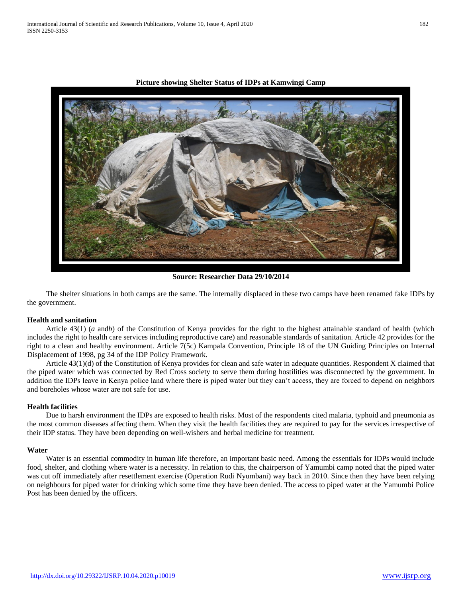

**Picture showing Shelter Status of IDPs at Kamwingi Camp**

**Source: Researcher Data 29/10/2014**

 The shelter situations in both camps are the same. The internally displaced in these two camps have been renamed fake IDPs by the government.

#### **Health and sanitation**

 Article 43(1) (*a* and*b*) of the Constitution of Kenya provides for the right to the highest attainable standard of health (which includes the right to health care services including reproductive care) and reasonable standards of sanitation*.* Article 42 provides for the right to a clean and healthy environment. Article 7(5c) Kampala Convention, Principle 18 of the UN Guiding Principles on Internal Displacement of 1998, pg 34 of the IDP Policy Framework.

 Article 43(1)(d) of the Constitution of Kenya provides for clean and safe water in adequate quantities. Respondent X claimed that the piped water which was connected by Red Cross society to serve them during hostilities was disconnected by the government. In addition the IDPs leave in Kenya police land where there is piped water but they can't access, they are forced to depend on neighbors and boreholes whose water are not safe for use.

## **Health facilities**

 Due to harsh environment the IDPs are exposed to health risks. Most of the respondents cited malaria, typhoid and pneumonia as the most common diseases affecting them. When they visit the health facilities they are required to pay for the services irrespective of their IDP status. They have been depending on well-wishers and herbal medicine for treatment.

#### **Water**

 Water is an essential commodity in human life therefore, an important basic need. Among the essentials for IDPs would include food, shelter, and clothing where water is a necessity. In relation to this, the chairperson of Yamumbi camp noted that the piped water was cut off immediately after resettlement exercise (Operation Rudi Nyumbani) way back in 2010. Since then they have been relying on neighbours for piped water for drinking which some time they have been denied. The access to piped water at the Yamumbi Police Post has been denied by the officers.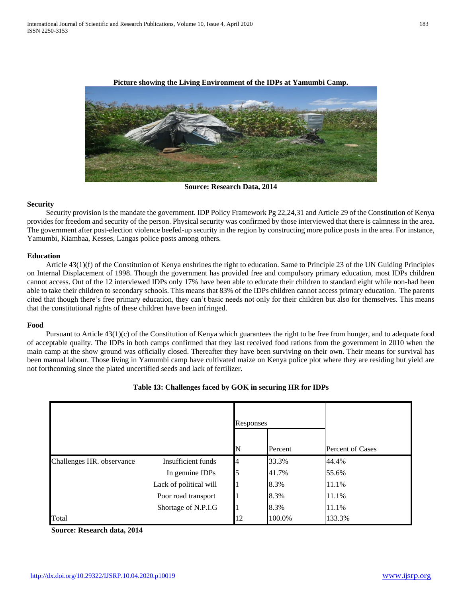

**Picture showing the Living Environment of the IDPs at Yamumbi Camp.**

**Source: Research Data, 2014**

## **Security**

 Security provision is the mandate the government. IDP Policy Framework Pg 22,24,31 and Article 29 of the Constitution of Kenya provides for freedom and security of the person. Physical security was confirmed by those interviewed that there is calmness in the area. The government after post-election violence beefed-up security in the region by constructing more police posts in the area. For instance, Yamumbi, Kiambaa, Kesses, Langas police posts among others.

## **Education**

 Article 43(1)(f) of the Constitution of Kenya enshrines the right to education. Same to Principle 23 of the UN Guiding Principles on Internal Displacement of 1998. Though the government has provided free and compulsory primary education, most IDPs children cannot access. Out of the 12 interviewed IDPs only 17% have been able to educate their children to standard eight while non-had been able to take their children to secondary schools. This means that 83% of the IDPs children cannot access primary education. The parents cited that though there's free primary education, they can't basic needs not only for their children but also for themselves. This means that the constitutional rights of these children have been infringed.

# **Food**

 Pursuant to Article 43(1)(c) of the Constitution of Kenya which guarantees the right to be free from hunger, and to adequate food of acceptable quality. The IDPs in both camps confirmed that they last received food rations from the government in 2010 when the main camp at the show ground was officially closed. Thereafter they have been surviving on their own. Their means for survival has been manual labour. Those living in Yamumbi camp have cultivated maize on Kenya police plot where they are residing but yield are not forthcoming since the plated uncertified seeds and lack of fertilizer.

|                           |                        | Responses |         |                  |  |
|---------------------------|------------------------|-----------|---------|------------------|--|
|                           |                        | N         | Percent | Percent of Cases |  |
| Challenges HR. observance | Insufficient funds     | 4         | 33.3%   | 44.4%            |  |
|                           | In genuine IDPs        |           | 41.7%   | 55.6%            |  |
|                           | Lack of political will |           | 8.3%    | 11.1%            |  |
|                           | Poor road transport    |           | 8.3%    | 11.1%            |  |
|                           | Shortage of N.P.I.G    |           | 8.3%    | 11.1%            |  |
| Total                     |                        | 12        | 100.0%  | 133.3%           |  |

## **Table 13: Challenges faced by GOK in securing HR for IDPs**

**Source: Research data, 2014**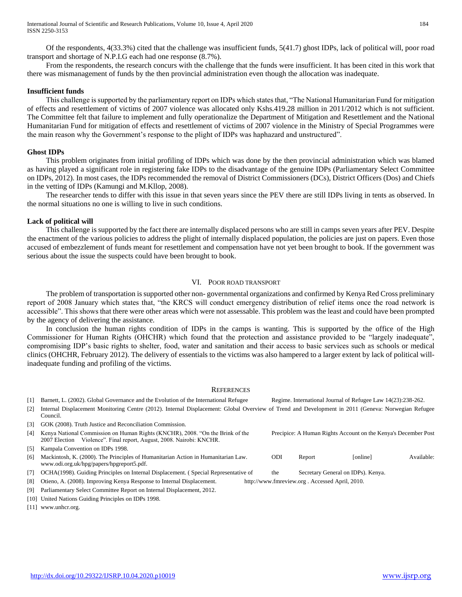Of the respondents, 4(33.3%) cited that the challenge was insufficient funds, 5(41.7) ghost IDPs, lack of political will, poor road transport and shortage of N.P.I.G each had one response (8.7%).

 From the respondents, the research concurs with the challenge that the funds were insufficient. It has been cited in this work that there was mismanagement of funds by the then provincial administration even though the allocation was inadequate.

## **Insufficient funds**

 This challenge is supported by the parliamentary report on IDPs which states that, "The National Humanitarian Fund for mitigation of effects and resettlement of victims of 2007 violence was allocated only Kshs.419.28 million in 2011/2012 which is not sufficient. The Committee felt that failure to implement and fully operationalize the Department of Mitigation and Resettlement and the National Humanitarian Fund for mitigation of effects and resettlement of victims of 2007 violence in the Ministry of Special Programmes were the main reason why the Government's response to the plight of IDPs was haphazard and unstructured".

## **Ghost IDPs**

 This problem originates from initial profiling of IDPs which was done by the then provincial administration which was blamed as having played a significant role in registering fake IDPs to the disadvantage of the genuine IDPs (Parliamentary Select Committee on IDPs, 2012). In most cases, the IDPs recommended the removal of District Commissioners (DCs), District Officers (Dos) and Chiefs in the vetting of IDPs (Kamungi and M.Kllop, 2008).

 The researcher tends to differ with this issue in that seven years since the PEV there are still IDPs living in tents as observed. In the normal situations no one is willing to live in such conditions.

## **Lack of political will**

 This challenge is supported by the fact there are internally displaced persons who are still in camps seven years after PEV. Despite the enactment of the various policies to address the plight of internally displaced population, the policies are just on papers. Even those accused of embezzlement of funds meant for resettlement and compensation have not yet been brought to book. If the government was serious about the issue the suspects could have been brought to book.

## VI. POOR ROAD TRANSPORT

 The problem of transportation is supported other non- governmental organizations and confirmed by Kenya Red Cross preliminary report of 2008 January which states that, "the KRCS will conduct emergency distribution of relief items once the road network is accessible". This shows that there were other areas which were not assessable. This problem was the least and could have been prompted by the agency of delivering the assistance.

 In conclusion the human rights condition of IDPs in the camps is wanting. This is supported by the office of the High Commissioner for Human Rights (OHCHR) which found that the protection and assistance provided to be "largely inadequate", compromising IDP's basic rights to shelter, food, water and sanitation and their access to basic services such as schools or medical clinics (OHCHR, February 2012). The delivery of essentials to the victims was also hampered to a larger extent by lack of political willinadequate funding and profiling of the victims.

## **REFERENCES**

[1] Barnett, L. (2002). Global Governance and the Evolution of the International Refugee Regime. International Journal of Refugee Law 14(23):238-262.

| $\lceil 2 \rceil$ | Internal Displacement Monitoring Centre (2012). Internal Displacement: Global Overview of Trend and Development in 2011 (Geneva: Norwegian Refugee<br>Council. |                                                                |                                               |          |            |
|-------------------|----------------------------------------------------------------------------------------------------------------------------------------------------------------|----------------------------------------------------------------|-----------------------------------------------|----------|------------|
| [3]               | GOK (2008). Truth Justice and Reconciliation Commission.                                                                                                       |                                                                |                                               |          |            |
| [4]               | Kenya National Commission on Human Rights (KNCHR), 2008. "On the Brink of the<br>2007 Election Violence". Final report, August, 2008. Nairobi: KNCHR.          | Precipice: A Human Rights Account on the Kenya's December Post |                                               |          |            |
| [5]               | Kampala Convention on IDPs 1998.                                                                                                                               |                                                                |                                               |          |            |
| [6]               | Mackintosh, K. (2000). The Principles of Humanitarian Action in Humanitarian Law.<br>www.odi.org.uk/hpg/papers/hpgreport5.pdf.                                 | ODI                                                            | Report                                        | [online] | Available: |
| [7]               | OCHA(1998). Guiding Principles on Internal Displacement. (Special Representative of                                                                            | the                                                            | Secretary General on IDPs). Kenya.            |          |            |
|                   | [8] Otieno, A. (2008). Improving Kenya Response to Internal Displacement                                                                                       |                                                                | $http://www.fmreview.org Acceseed Anril 2010$ |          |            |

[8] Otieno, A. (2008). Improving Kenya Response to Internal Displacement. http://www.fmreview.org . Accessed April, 2010.

[9] Parliamentary Select Committee Report on Internal Displacement, 2012.

[10] United Nations Guiding Principles on IDPs 1998.

[11] www.unhcr.org.